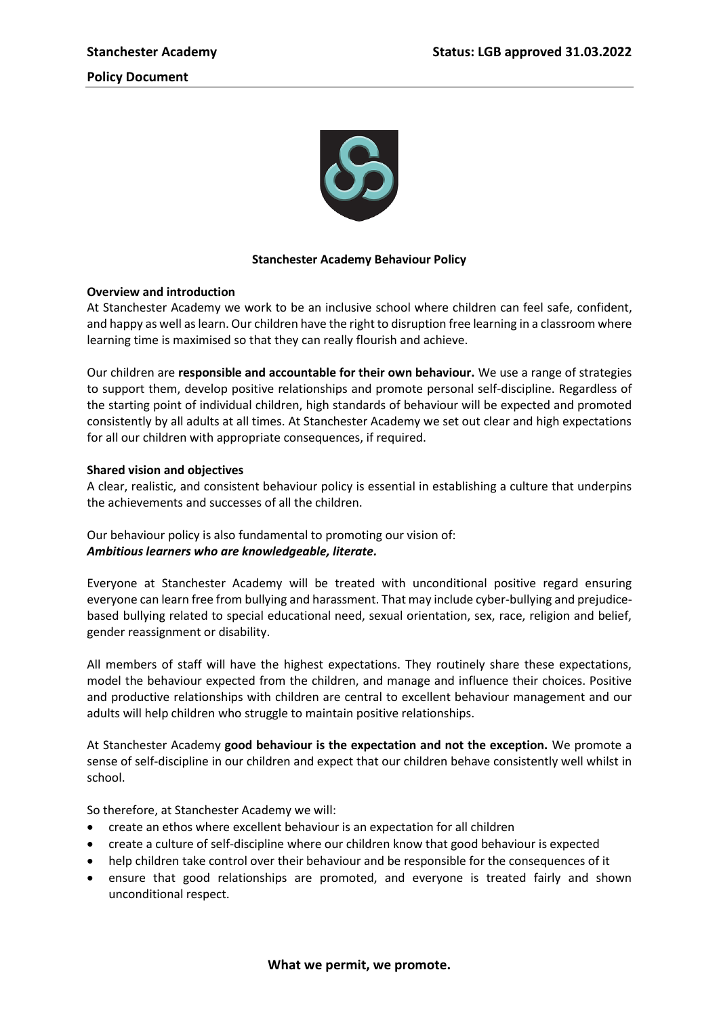

## **Stanchester Academy Behaviour Policy**

## **Overview and introduction**

At Stanchester Academy we work to be an inclusive school where children can feel safe, confident, and happy as well as learn. Our children have the right to disruption free learning in a classroom where learning time is maximised so that they can really flourish and achieve.

Our children are **responsible and accountable for their own behaviour.** We use a range of strategies to support them, develop positive relationships and promote personal self-discipline. Regardless of the starting point of individual children, high standards of behaviour will be expected and promoted consistently by all adults at all times. At Stanchester Academy we set out clear and high expectations for all our children with appropriate consequences, if required.

# **Shared vision and objectives**

A clear, realistic, and consistent behaviour policy is essential in establishing a culture that underpins the achievements and successes of all the children.

Our behaviour policy is also fundamental to promoting our vision of: *Ambitious learners who are knowledgeable, literate.*

Everyone at Stanchester Academy will be treated with unconditional positive regard ensuring everyone can learn free from bullying and harassment. That may include cyber-bullying and prejudicebased bullying related to special educational need, sexual orientation, sex, race, religion and belief, gender reassignment or disability.

All members of staff will have the highest expectations. They routinely share these expectations, model the behaviour expected from the children, and manage and influence their choices. Positive and productive relationships with children are central to excellent behaviour management and our adults will help children who struggle to maintain positive relationships.

At Stanchester Academy **good behaviour is the expectation and not the exception.** We promote a sense of self-discipline in our children and expect that our children behave consistently well whilst in school.

So therefore, at Stanchester Academy we will:

- create an ethos where excellent behaviour is an expectation for all children
- create a culture of self-discipline where our children know that good behaviour is expected
- help children take control over their behaviour and be responsible for the consequences of it
- ensure that good relationships are promoted, and everyone is treated fairly and shown unconditional respect.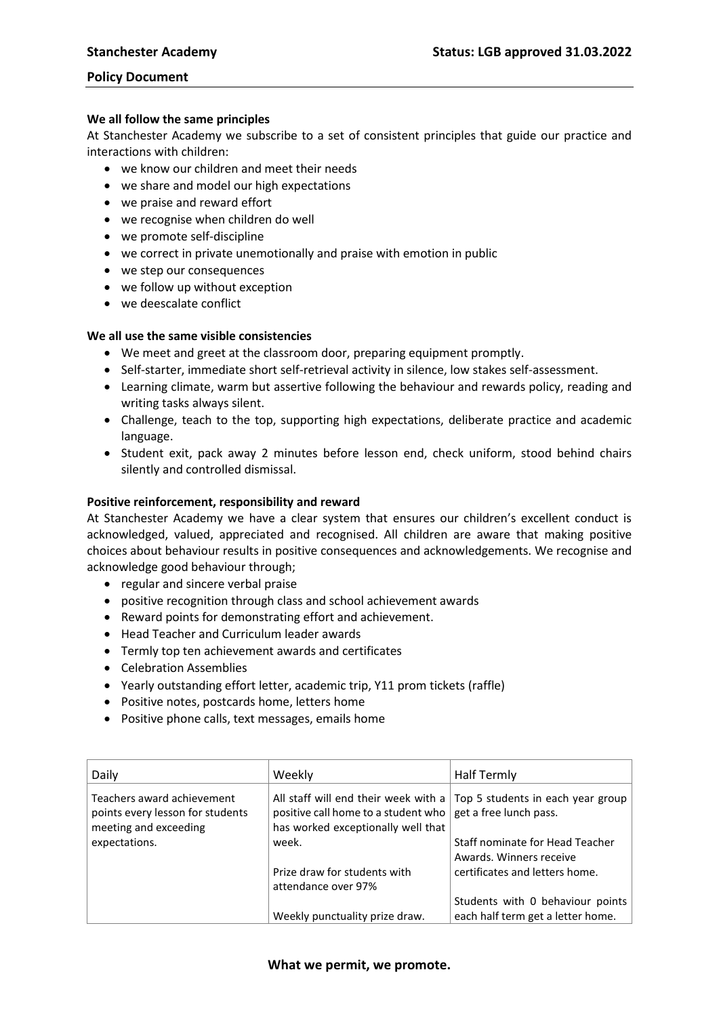#### **We all follow the same principles**

At Stanchester Academy we subscribe to a set of consistent principles that guide our practice and interactions with children:

- we know our children and meet their needs
- we share and model our high expectations
- we praise and reward effort
- we recognise when children do well
- we promote self-discipline
- we correct in private unemotionally and praise with emotion in public
- we step our consequences
- we follow up without exception
- we deescalate conflict

### **We all use the same visible consistencies**

- We meet and greet at the classroom door, preparing equipment promptly.
- Self-starter, immediate short self-retrieval activity in silence, low stakes self-assessment.
- Learning climate, warm but assertive following the behaviour and rewards policy, reading and writing tasks always silent.
- Challenge, teach to the top, supporting high expectations, deliberate practice and academic language.
- Student exit, pack away 2 minutes before lesson end, check uniform, stood behind chairs silently and controlled dismissal.

#### **Positive reinforcement, responsibility and reward**

At Stanchester Academy we have a clear system that ensures our children's excellent conduct is acknowledged, valued, appreciated and recognised. All children are aware that making positive choices about behaviour results in positive consequences and acknowledgements. We recognise and acknowledge good behaviour through;

- regular and sincere verbal praise
- positive recognition through class and school achievement awards
- Reward points for demonstrating effort and achievement.
- Head Teacher and Curriculum leader awards
- Termly top ten achievement awards and certificates
- Celebration Assemblies
- Yearly outstanding effort letter, academic trip, Y11 prom tickets (raffle)
- Positive notes, postcards home, letters home
- Positive phone calls, text messages, emails home

| Daily                                                                                   | Weekly                                                                                                            | <b>Half Termly</b>                                          |
|-----------------------------------------------------------------------------------------|-------------------------------------------------------------------------------------------------------------------|-------------------------------------------------------------|
| Teachers award achievement<br>points every lesson for students<br>meeting and exceeding | All staff will end their week with a<br>positive call home to a student who<br>has worked exceptionally well that | Top 5 students in each year group<br>get a free lunch pass. |
| expectations.                                                                           | week.                                                                                                             | Staff nominate for Head Teacher                             |
|                                                                                         |                                                                                                                   | Awards, Winners receive                                     |
|                                                                                         | Prize draw for students with                                                                                      | certificates and letters home.                              |
|                                                                                         | attendance over 97%                                                                                               |                                                             |
|                                                                                         |                                                                                                                   | Students with 0 behaviour points                            |
|                                                                                         | Weekly punctuality prize draw.                                                                                    | each half term get a letter home.                           |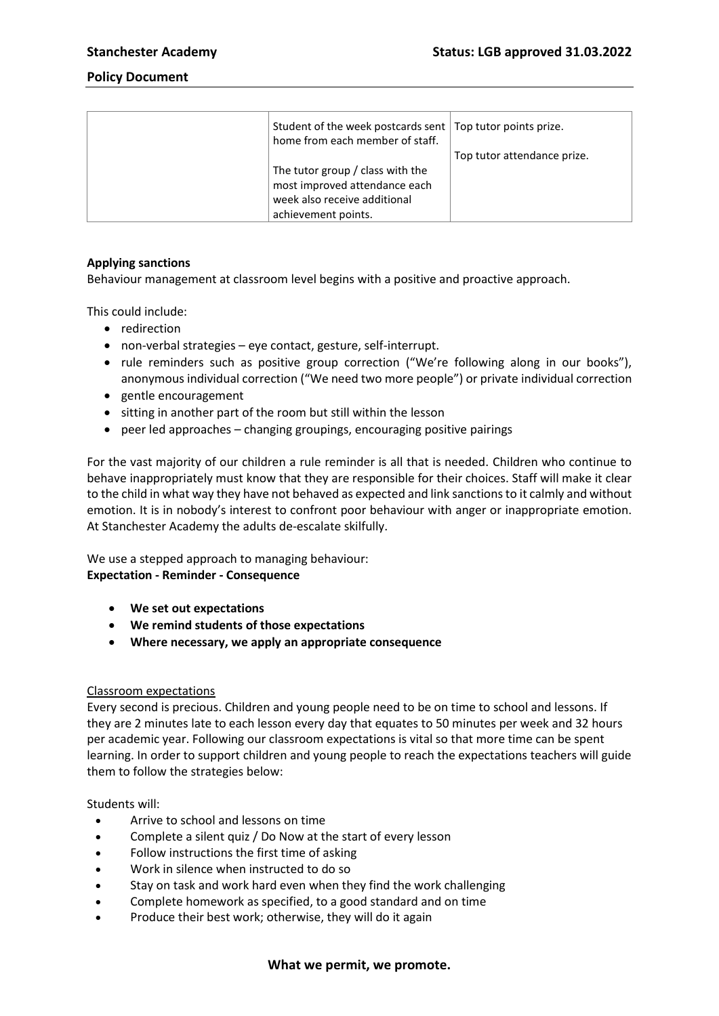| Student of the week postcards sent   Top tutor points prize.<br>home from each member of staff. |                             |
|-------------------------------------------------------------------------------------------------|-----------------------------|
|                                                                                                 | Top tutor attendance prize. |
| The tutor group / class with the                                                                |                             |
| most improved attendance each                                                                   |                             |
| week also receive additional                                                                    |                             |
| achievement points.                                                                             |                             |

## **Applying sanctions**

Behaviour management at classroom level begins with a positive and proactive approach.

This could include:

- redirection
- non-verbal strategies eye contact, gesture, self-interrupt.
- rule reminders such as positive group correction ("We're following along in our books"), anonymous individual correction ("We need two more people") or private individual correction
- gentle encouragement
- sitting in another part of the room but still within the lesson
- peer led approaches changing groupings, encouraging positive pairings

For the vast majority of our children a rule reminder is all that is needed. Children who continue to behave inappropriately must know that they are responsible for their choices. Staff will make it clear to the child in what way they have not behaved as expected and link sanctions to it calmly and without emotion. It is in nobody's interest to confront poor behaviour with anger or inappropriate emotion. At Stanchester Academy the adults de-escalate skilfully.

We use a stepped approach to managing behaviour: **Expectation - Reminder - Consequence** 

- **We set out expectations**
- **We remind students of those expectations**
- **Where necessary, we apply an appropriate consequence**

#### Classroom expectations

Every second is precious. Children and young people need to be on time to school and lessons. If they are 2 minutes late to each lesson every day that equates to 50 minutes per week and 32 hours per academic year. Following our classroom expectations is vital so that more time can be spent learning. In order to support children and young people to reach the expectations teachers will guide them to follow the strategies below:

#### Students will:

- Arrive to school and lessons on time
- Complete a silent quiz / Do Now at the start of every lesson
- Follow instructions the first time of asking
- Work in silence when instructed to do so
- Stay on task and work hard even when they find the work challenging
- Complete homework as specified, to a good standard and on time
- Produce their best work; otherwise, they will do it again

#### **What we permit, we promote.**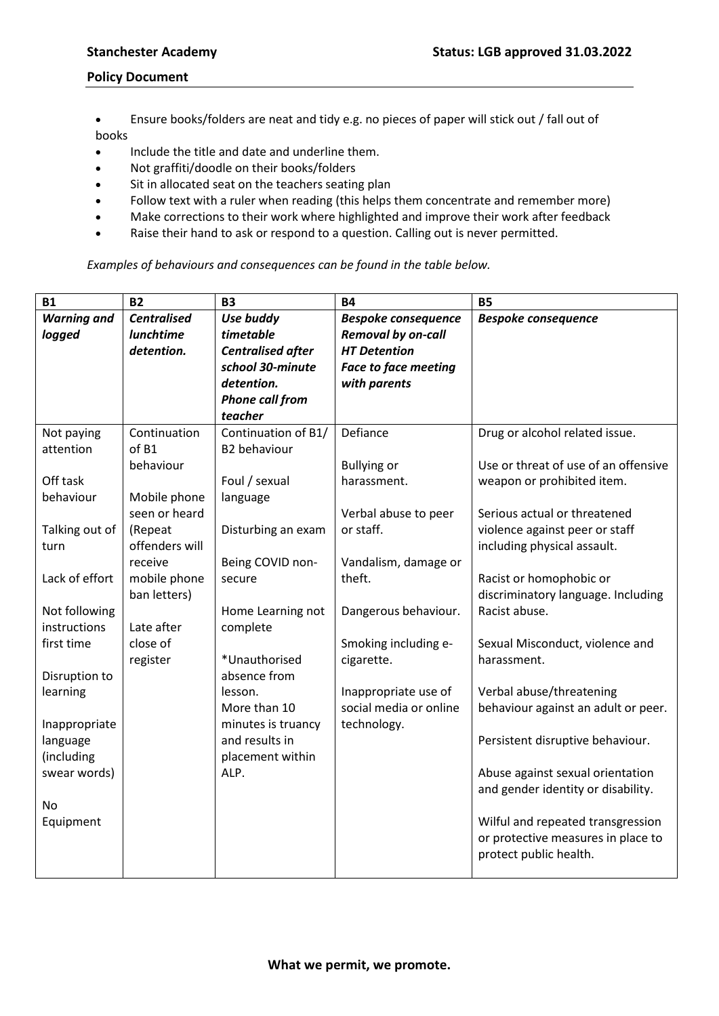- Ensure books/folders are neat and tidy e.g. no pieces of paper will stick out / fall out of books
- Include the title and date and underline them.
- Not graffiti/doodle on their books/folders
- Sit in allocated seat on the teachers seating plan
- Follow text with a ruler when reading (this helps them concentrate and remember more)
- Make corrections to their work where highlighted and improve their work after feedback
- Raise their hand to ask or respond to a question. Calling out is never permitted.

*Examples of behaviours and consequences can be found in the table below.* 

| <b>B1</b>          | <b>B2</b>          | <b>B3</b>                | <b>B4</b>                   | <b>B5</b>                            |
|--------------------|--------------------|--------------------------|-----------------------------|--------------------------------------|
| <b>Warning and</b> | <b>Centralised</b> | Use buddy                | <b>Bespoke consequence</b>  | <b>Bespoke consequence</b>           |
| logged             | <b>lunchtime</b>   | timetable                | <b>Removal by on-call</b>   |                                      |
|                    | detention.         | <b>Centralised after</b> | <b>HT Detention</b>         |                                      |
|                    |                    | school 30-minute         | <b>Face to face meeting</b> |                                      |
|                    |                    | detention.               | with parents                |                                      |
|                    |                    | <b>Phone call from</b>   |                             |                                      |
|                    |                    | teacher                  |                             |                                      |
| Not paying         | Continuation       | Continuation of B1/      | Defiance                    | Drug or alcohol related issue.       |
| attention          | of B1              | <b>B2</b> behaviour      |                             |                                      |
|                    | behaviour          |                          | <b>Bullying or</b>          | Use or threat of use of an offensive |
| Off task           |                    | Foul / sexual            | harassment.                 | weapon or prohibited item.           |
| behaviour          | Mobile phone       | language                 |                             |                                      |
|                    | seen or heard      |                          | Verbal abuse to peer        | Serious actual or threatened         |
| Talking out of     | (Repeat            | Disturbing an exam       | or staff.                   | violence against peer or staff       |
| turn               | offenders will     |                          |                             | including physical assault.          |
|                    | receive            | Being COVID non-         | Vandalism, damage or        |                                      |
| Lack of effort     | mobile phone       | secure                   | theft.                      | Racist or homophobic or              |
|                    | ban letters)       |                          |                             | discriminatory language. Including   |
| Not following      |                    | Home Learning not        | Dangerous behaviour.        | Racist abuse.                        |
| instructions       | Late after         | complete                 |                             |                                      |
| first time         | close of           |                          | Smoking including e-        | Sexual Misconduct, violence and      |
|                    | register           | *Unauthorised            | cigarette.                  | harassment.                          |
| Disruption to      |                    | absence from             |                             |                                      |
| learning           |                    | lesson.                  | Inappropriate use of        | Verbal abuse/threatening             |
|                    |                    | More than 10             | social media or online      | behaviour against an adult or peer.  |
| Inappropriate      |                    | minutes is truancy       | technology.                 |                                      |
| language           |                    | and results in           |                             | Persistent disruptive behaviour.     |
| (including         |                    | placement within         |                             |                                      |
| swear words)       |                    | ALP.                     |                             | Abuse against sexual orientation     |
|                    |                    |                          |                             | and gender identity or disability.   |
| No                 |                    |                          |                             |                                      |
| Equipment          |                    |                          |                             | Wilful and repeated transgression    |
|                    |                    |                          |                             | or protective measures in place to   |
|                    |                    |                          |                             | protect public health.               |
|                    |                    |                          |                             |                                      |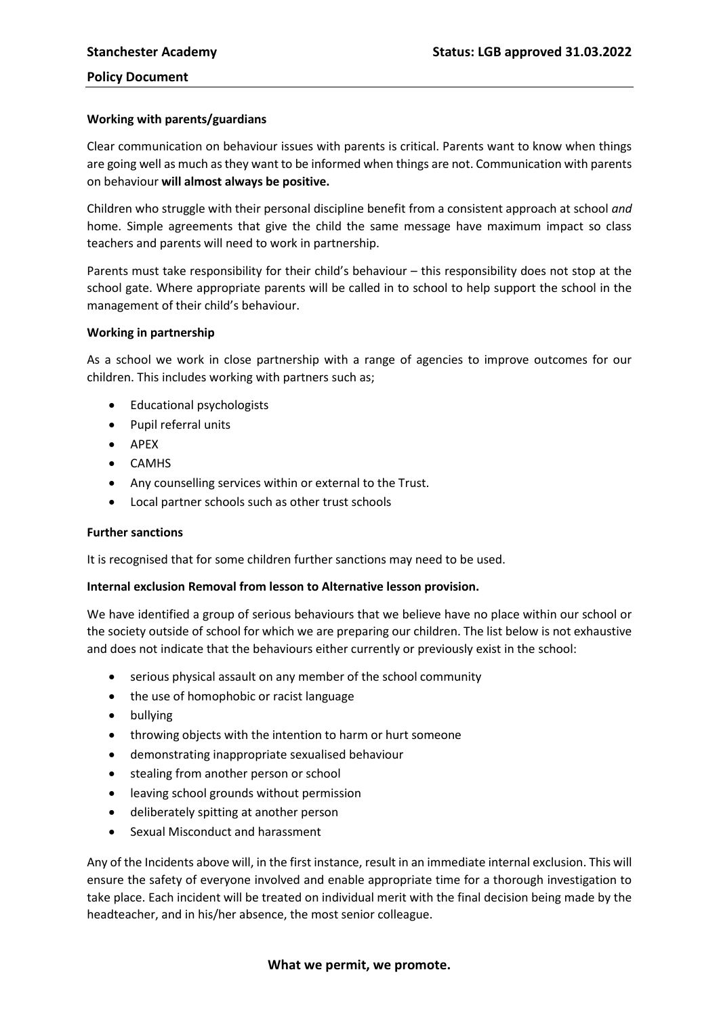### **Working with parents/guardians**

Clear communication on behaviour issues with parents is critical. Parents want to know when things are going well as much as they want to be informed when things are not. Communication with parents on behaviour **will almost always be positive.**

Children who struggle with their personal discipline benefit from a consistent approach at school *and* home. Simple agreements that give the child the same message have maximum impact so class teachers and parents will need to work in partnership.

Parents must take responsibility for their child's behaviour – this responsibility does not stop at the school gate. Where appropriate parents will be called in to school to help support the school in the management of their child's behaviour.

### **Working in partnership**

As a school we work in close partnership with a range of agencies to improve outcomes for our children. This includes working with partners such as;

- Educational psychologists
- Pupil referral units
- APEX
- CAMHS
- Any counselling services within or external to the Trust.
- Local partner schools such as other trust schools

## **Further sanctions**

It is recognised that for some children further sanctions may need to be used.

#### **Internal exclusion Removal from lesson to Alternative lesson provision.**

We have identified a group of serious behaviours that we believe have no place within our school or the society outside of school for which we are preparing our children. The list below is not exhaustive and does not indicate that the behaviours either currently or previously exist in the school:

- serious physical assault on any member of the school community
- the use of homophobic or racist language
- bullying
- throwing objects with the intention to harm or hurt someone
- demonstrating inappropriate sexualised behaviour
- stealing from another person or school
- leaving school grounds without permission
- deliberately spitting at another person
- Sexual Misconduct and harassment

Any of the Incidents above will, in the first instance, result in an immediate internal exclusion. This will ensure the safety of everyone involved and enable appropriate time for a thorough investigation to take place. Each incident will be treated on individual merit with the final decision being made by the headteacher, and in his/her absence, the most senior colleague.

#### **What we permit, we promote.**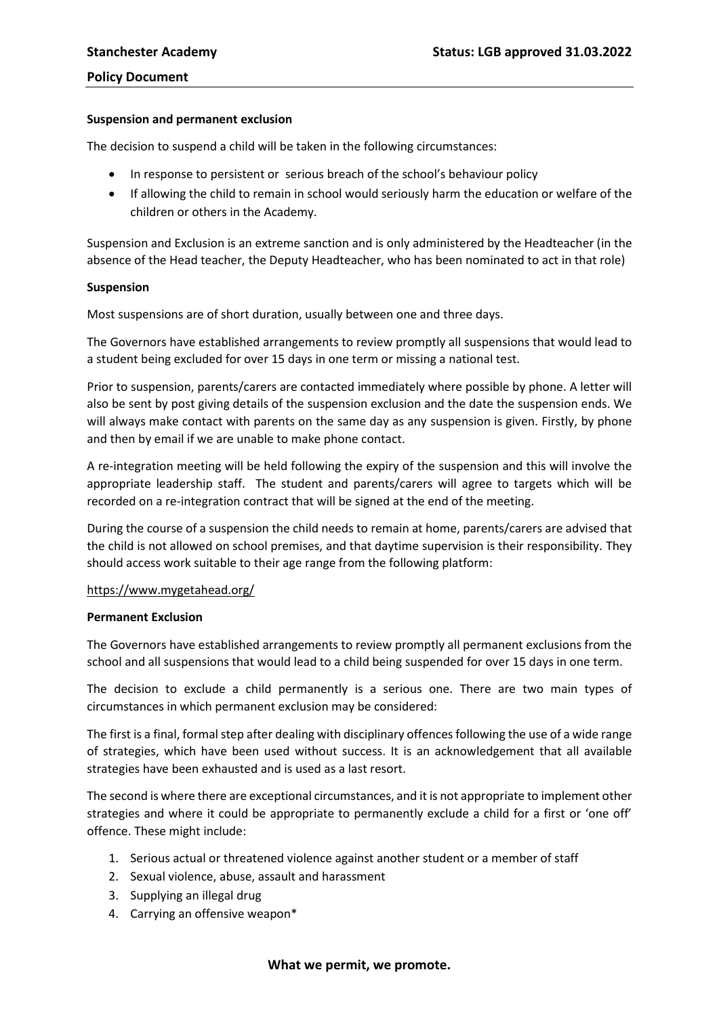#### **Suspension and permanent exclusion**

The decision to suspend a child will be taken in the following circumstances:

- In response to persistent or serious breach of the school's behaviour policy
- If allowing the child to remain in school would seriously harm the education or welfare of the children or others in the Academy.

Suspension and Exclusion is an extreme sanction and is only administered by the Headteacher (in the absence of the Head teacher, the Deputy Headteacher, who has been nominated to act in that role)

### **Suspension**

Most suspensions are of short duration, usually between one and three days.

The Governors have established arrangements to review promptly all suspensions that would lead to a student being excluded for over 15 days in one term or missing a national test.

Prior to suspension, parents/carers are contacted immediately where possible by phone. A letter will also be sent by post giving details of the suspension exclusion and the date the suspension ends. We will always make contact with parents on the same day as any suspension is given. Firstly, by phone and then by email if we are unable to make phone contact.

A re-integration meeting will be held following the expiry of the suspension and this will involve the appropriate leadership staff. The student and parents/carers will agree to targets which will be recorded on a re-integration contract that will be signed at the end of the meeting.

During the course of a suspension the child needs to remain at home, parents/carers are advised that the child is not allowed on school premises, and that daytime supervision is their responsibility. They should access work suitable to their age range from the following platform:

## <https://www.mygetahead.org/>

#### **Permanent Exclusion**

The Governors have established arrangements to review promptly all permanent exclusions from the school and all suspensions that would lead to a child being suspended for over 15 days in one term.

The decision to exclude a child permanently is a serious one. There are two main types of circumstances in which permanent exclusion may be considered:

The first is a final, formal step after dealing with disciplinary offences following the use of a wide range of strategies, which have been used without success. It is an acknowledgement that all available strategies have been exhausted and is used as a last resort.

The second is where there are exceptional circumstances, and it is not appropriate to implement other strategies and where it could be appropriate to permanently exclude a child for a first or 'one off' offence. These might include:

- 1. Serious actual or threatened violence against another student or a member of staff
- 2. Sexual violence, abuse, assault and harassment
- 3. Supplying an illegal drug
- 4. Carrying an offensive weapon\*

#### **What we permit, we promote.**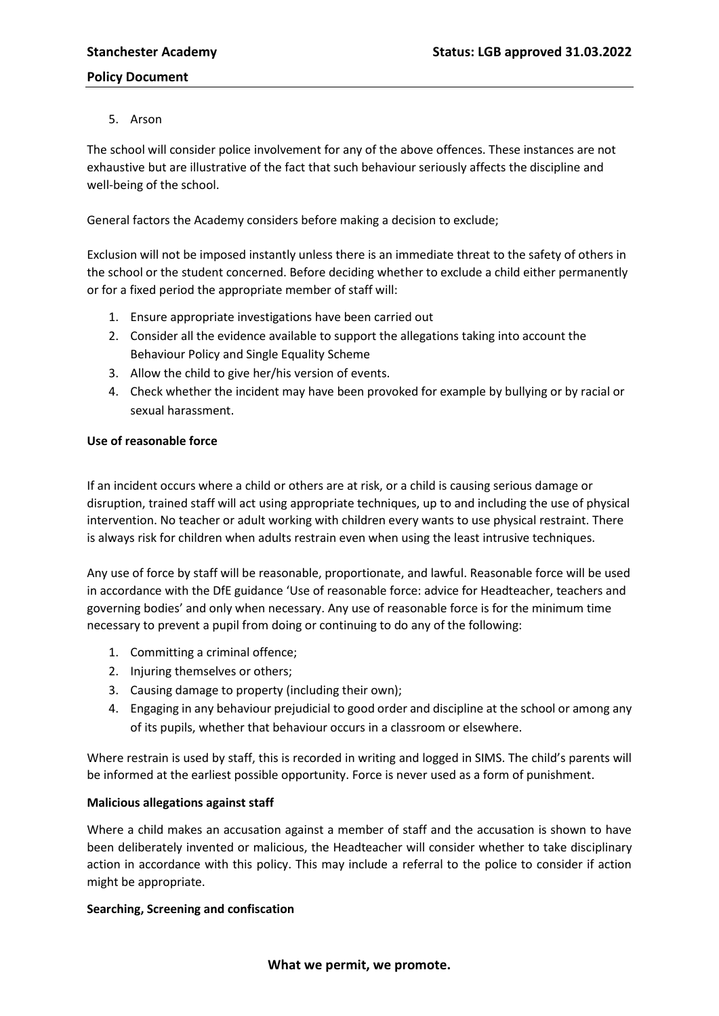5. Arson

The school will consider police involvement for any of the above offences. These instances are not exhaustive but are illustrative of the fact that such behaviour seriously affects the discipline and well-being of the school.

General factors the Academy considers before making a decision to exclude;

Exclusion will not be imposed instantly unless there is an immediate threat to the safety of others in the school or the student concerned. Before deciding whether to exclude a child either permanently or for a fixed period the appropriate member of staff will:

- 1. Ensure appropriate investigations have been carried out
- 2. Consider all the evidence available to support the allegations taking into account the Behaviour Policy and Single Equality Scheme
- 3. Allow the child to give her/his version of events.
- 4. Check whether the incident may have been provoked for example by bullying or by racial or sexual harassment.

# **Use of reasonable force**

If an incident occurs where a child or others are at risk, or a child is causing serious damage or disruption, trained staff will act using appropriate techniques, up to and including the use of physical intervention. No teacher or adult working with children every wants to use physical restraint. There is always risk for children when adults restrain even when using the least intrusive techniques.

Any use of force by staff will be reasonable, proportionate, and lawful. Reasonable force will be used in accordance with the DfE guidance 'Use of reasonable force: advice for Headteacher, teachers and governing bodies' and only when necessary. Any use of reasonable force is for the minimum time necessary to prevent a pupil from doing or continuing to do any of the following:

- 1. Committing a criminal offence;
- 2. Injuring themselves or others;
- 3. Causing damage to property (including their own);
- 4. Engaging in any behaviour prejudicial to good order and discipline at the school or among any of its pupils, whether that behaviour occurs in a classroom or elsewhere.

Where restrain is used by staff, this is recorded in writing and logged in SIMS. The child's parents will be informed at the earliest possible opportunity. Force is never used as a form of punishment.

## **Malicious allegations against staff**

Where a child makes an accusation against a member of staff and the accusation is shown to have been deliberately invented or malicious, the Headteacher will consider whether to take disciplinary action in accordance with this policy. This may include a referral to the police to consider if action might be appropriate.

## **Searching, Screening and confiscation**